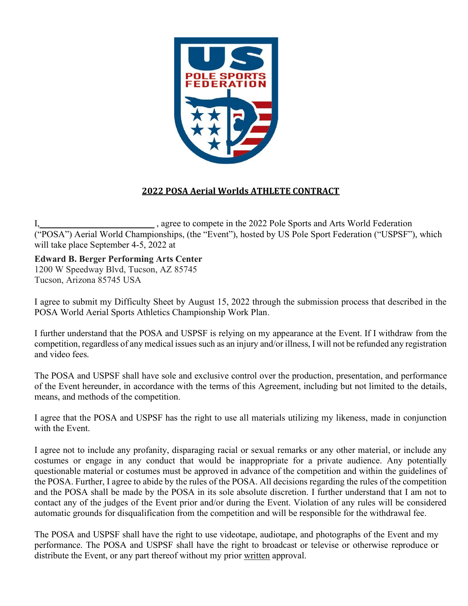

## 2022 POSA Aerial Worlds ATHLETE CONTRACT

I, sagree to compete in the 2022 Pole Sports and Arts World Federation ("POSA") Aerial World Championships, (the "Event"), hosted by US Pole Sport Federation ("USPSF"), which will take place September 4-5, 2022 at

Edward B. Berger Performing Arts Center

1200 W Speedway Blvd, Tucson, AZ 85745 Tucson, Arizona 85745 USA

I agree to submit my Difficulty Sheet by August 15, 2022 through the submission process that described in the POSA World Aerial Sports Athletics Championship Work Plan.

I further understand that the POSA and USPSF is relying on my appearance at the Event. If I withdraw from the competition, regardless of any medical issues such as an injury and/or illness, I will not be refunded any registration and video fees.

The POSA and USPSF shall have sole and exclusive control over the production, presentation, and performance of the Event hereunder, in accordance with the terms of this Agreement, including but not limited to the details, means, and methods of the competition.

I agree that the POSA and USPSF has the right to use all materials utilizing my likeness, made in conjunction with the Event.

I agree not to include any profanity, disparaging racial or sexual remarks or any other material, or include any costumes or engage in any conduct that would be inappropriate for a private audience. Any potentially questionable material or costumes must be approved in advance of the competition and within the guidelines of the POSA. Further, I agree to abide by the rules of the POSA. All decisions regarding the rules of the competition and the POSA shall be made by the POSA in its sole absolute discretion. I further understand that I am not to contact any of the judges of the Event prior and/or during the Event. Violation of any rules will be considered automatic grounds for disqualification from the competition and will be responsible for the withdrawal fee.

The POSA and USPSF shall have the right to use videotape, audiotape, and photographs of the Event and my performance. The POSA and USPSF shall have the right to broadcast or televise or otherwise reproduce or distribute the Event, or any part thereof without my prior written approval.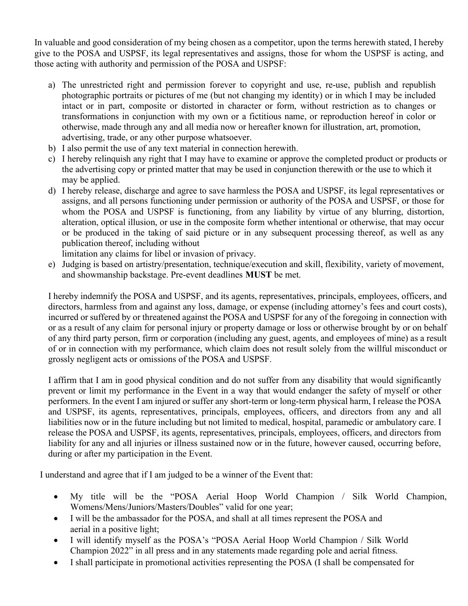In valuable and good consideration of my being chosen as a competitor, upon the terms herewith stated, I hereby give to the POSA and USPSF, its legal representatives and assigns, those for whom the USPSF is acting, and those acting with authority and permission of the POSA and USPSF:

- a) The unrestricted right and permission forever to copyright and use, re-use, publish and republish photographic portraits or pictures of me (but not changing my identity) or in which I may be included intact or in part, composite or distorted in character or form, without restriction as to changes or transformations in conjunction with my own or a fictitious name, or reproduction hereof in color or otherwise, made through any and all media now or hereafter known for illustration, art, promotion, advertising, trade, or any other purpose whatsoever.
- b) I also permit the use of any text material in connection herewith.
- c) I hereby relinquish any right that I may have to examine or approve the completed product or products or the advertising copy or printed matter that may be used in conjunction therewith or the use to which it may be applied.
- d) I hereby release, discharge and agree to save harmless the POSA and USPSF, its legal representatives or assigns, and all persons functioning under permission or authority of the POSA and USPSF, or those for whom the POSA and USPSF is functioning, from any liability by virtue of any blurring, distortion, alteration, optical illusion, or use in the composite form whether intentional or otherwise, that may occur or be produced in the taking of said picture or in any subsequent processing thereof, as well as any publication thereof, including without
	- limitation any claims for libel or invasion of privacy.
- e) Judging is based on artistry/presentation, technique/execution and skill, flexibility, variety of movement, and showmanship backstage. Pre-event deadlines MUST be met.

I hereby indemnify the POSA and USPSF, and its agents, representatives, principals, employees, officers, and directors, harmless from and against any loss, damage, or expense (including attorney's fees and court costs), incurred or suffered by or threatened against the POSA and USPSF for any of the foregoing in connection with or as a result of any claim for personal injury or property damage or loss or otherwise brought by or on behalf of any third party person, firm or corporation (including any guest, agents, and employees of mine) as a result of or in connection with my performance, which claim does not result solely from the willful misconduct or grossly negligent acts or omissions of the POSA and USPSF.

I affirm that I am in good physical condition and do not suffer from any disability that would significantly prevent or limit my performance in the Event in a way that would endanger the safety of myself or other performers. In the event I am injured or suffer any short-term or long-term physical harm, I release the POSA and USPSF, its agents, representatives, principals, employees, officers, and directors from any and all liabilities now or in the future including but not limited to medical, hospital, paramedic or ambulatory care. I release the POSA and USPSF, its agents, representatives, principals, employees, officers, and directors from liability for any and all injuries or illness sustained now or in the future, however caused, occurring before, during or after my participation in the Event.

I understand and agree that if I am judged to be a winner of the Event that:

- My title will be the "POSA Aerial Hoop World Champion / Silk World Champion, Womens/Mens/Juniors/Masters/Doubles" valid for one year;
- I will be the ambassador for the POSA, and shall at all times represent the POSA and aerial in a positive light;
- I will identify myself as the POSA's "POSA Aerial Hoop World Champion / Silk World Champion 2022" in all press and in any statements made regarding pole and aerial fitness.
- I shall participate in promotional activities representing the POSA (I shall be compensated for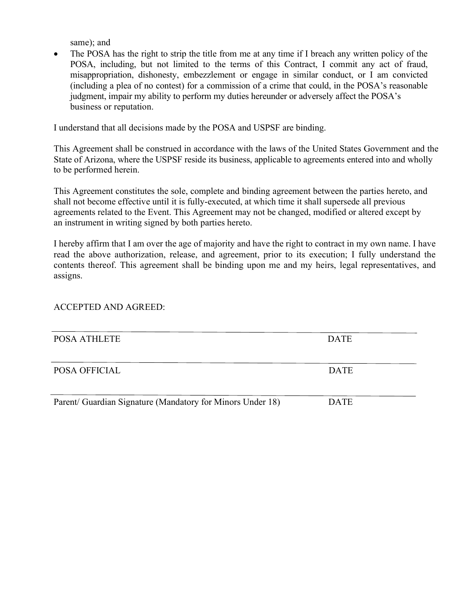same); and

• The POSA has the right to strip the title from me at any time if I breach any written policy of the POSA, including, but not limited to the terms of this Contract, I commit any act of fraud, misappropriation, dishonesty, embezzlement or engage in similar conduct, or I am convicted (including a plea of no contest) for a commission of a crime that could, in the POSA's reasonable judgment, impair my ability to perform my duties hereunder or adversely affect the POSA's business or reputation.

I understand that all decisions made by the POSA and USPSF are binding.

This Agreement shall be construed in accordance with the laws of the United States Government and the State of Arizona, where the USPSF reside its business, applicable to agreements entered into and wholly to be performed herein.

This Agreement constitutes the sole, complete and binding agreement between the parties hereto, and shall not become effective until it is fully-executed, at which time it shall supersede all previous agreements related to the Event. This Agreement may not be changed, modified or altered except by an instrument in writing signed by both parties hereto.

I hereby affirm that I am over the age of majority and have the right to contract in my own name. I have read the above authorization, release, and agreement, prior to its execution; I fully understand the contents thereof. This agreement shall be binding upon me and my heirs, legal representatives, and assigns.

## ACCEPTED AND AGREED:

| POSA ATHLETE                                               | <b>DATE</b> |
|------------------------------------------------------------|-------------|
|                                                            |             |
|                                                            |             |
|                                                            |             |
| <b>POSA OFFICIAL</b>                                       | <b>DATE</b> |
|                                                            |             |
|                                                            |             |
|                                                            |             |
|                                                            |             |
| Parent/ Guardian Signature (Mandatory for Minors Under 18) | <b>DATE</b> |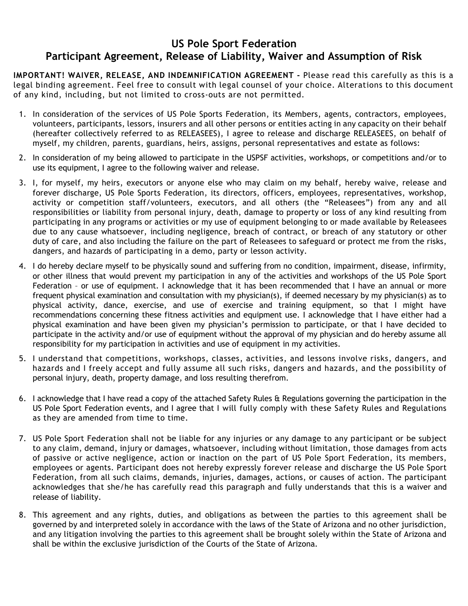## US Pole Sport Federation Participant Agreement, Release of Liability, Waiver and Assumption of Risk

IMPORTANT! WAIVER, RELEASE, AND INDEMNIFICATION AGREEMENT - Please read this carefully as this is a legal binding agreement. Feel free to consult with legal counsel of your choice. Alterations to this document of any kind, including, but not limited to cross-outs are not permitted.

- 1. In consideration of the services of US Pole Sports Federation, its Members, agents, contractors, employees, volunteers, participants, lessors, insurers and all other persons or entities acting in any capacity on their behalf (hereafter collectively referred to as RELEASEES), I agree to release and discharge RELEASEES, on behalf of myself, my children, parents, guardians, heirs, assigns, personal representatives and estate as follows:
- 2. In consideration of my being allowed to participate in the USPSF activities, workshops, or competitions and/or to use its equipment, I agree to the following waiver and release.
- 3. I, for myself, my heirs, executors or anyone else who may claim on my behalf, hereby waive, release and forever discharge, US Pole Sports Federation, its directors, officers, employees, representatives, workshop, activity or competition staff/volunteers, executors, and all others (the "Releasees") from any and all responsibilities or liability from personal injury, death, damage to property or loss of any kind resulting from participating in any programs or activities or my use of equipment belonging to or made available by Releasees due to any cause whatsoever, including negligence, breach of contract, or breach of any statutory or other duty of care, and also including the failure on the part of Releasees to safeguard or protect me from the risks, dangers, and hazards of participating in a demo, party or lesson activity.
- 4. I do hereby declare myself to be physically sound and suffering from no condition, impairment, disease, infirmity, or other illness that would prevent my participation in any of the activities and workshops of the US Pole Sport Federation – or use of equipment. I acknowledge that it has been recommended that I have an annual or more frequent physical examination and consultation with my physician(s), if deemed necessary by my physician(s) as to physical activity, dance, exercise, and use of exercise and training equipment, so that I might have recommendations concerning these fitness activities and equipment use. I acknowledge that I have either had a physical examination and have been given my physician's permission to participate, or that I have decided to participate in the activity and/or use of equipment without the approval of my physician and do hereby assume all responsibility for my participation in activities and use of equipment in my activities.
- 5. I understand that competitions, workshops, classes, activities, and lessons involve risks, dangers, and hazards and I freely accept and fully assume all such risks, dangers and hazards, and the possibility of personal injury, death, property damage, and loss resulting therefrom.
- 6. I acknowledge that I have read a copy of the attached Safety Rules & Regulations governing the participation in the US Pole Sport Federation events, and I agree that I will fully comply with these Safety Rules and Regulations as they are amended from time to time.
- 7. US Pole Sport Federation shall not be liable for any injuries or any damage to any participant or be subject to any claim, demand, injury or damages, whatsoever, including without limitation, those damages from acts of passive or active negligence, action or inaction on the part of US Pole Sport Federation, its members, employees or agents. Participant does not hereby expressly forever release and discharge the US Pole Sport Federation, from all such claims, demands, injuries, damages, actions, or causes of action. The participant acknowledges that she/he has carefully read this paragraph and fully understands that this is a waiver and release of liability.
- 8. This agreement and any rights, duties, and obligations as between the parties to this agreement shall be governed by and interpreted solely in accordance with the laws of the State of Arizona and no other jurisdiction, and any litigation involving the parties to this agreement shall be brought solely within the State of Arizona and shall be within the exclusive jurisdiction of the Courts of the State of Arizona.